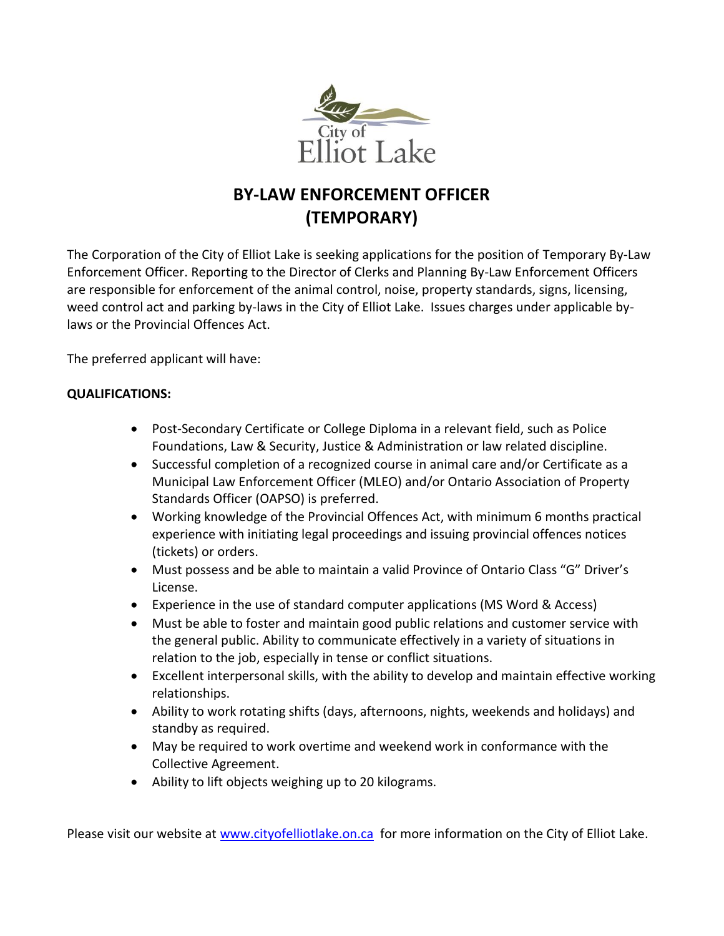

## **BY-LAW ENFORCEMENT OFFICER (TEMPORARY)**

The Corporation of the City of Elliot Lake is seeking applications for the position of Temporary By-Law Enforcement Officer. Reporting to the Director of Clerks and Planning By-Law Enforcement Officers are responsible for enforcement of the animal control, noise, property standards, signs, licensing, weed control act and parking by-laws in the City of Elliot Lake. Issues charges under applicable bylaws or the Provincial Offences Act.

The preferred applicant will have:

## **QUALIFICATIONS:**

- Post-Secondary Certificate or College Diploma in a relevant field, such as Police Foundations, Law & Security, Justice & Administration or law related discipline.
- Successful completion of a recognized course in animal care and/or Certificate as a Municipal Law Enforcement Officer (MLEO) and/or Ontario Association of Property Standards Officer (OAPSO) is preferred.
- Working knowledge of the Provincial Offences Act, with minimum 6 months practical experience with initiating legal proceedings and issuing provincial offences notices (tickets) or orders.
- Must possess and be able to maintain a valid Province of Ontario Class "G" Driver's License.
- Experience in the use of standard computer applications (MS Word & Access)
- Must be able to foster and maintain good public relations and customer service with the general public. Ability to communicate effectively in a variety of situations in relation to the job, especially in tense or conflict situations.
- Excellent interpersonal skills, with the ability to develop and maintain effective working relationships.
- Ability to work rotating shifts (days, afternoons, nights, weekends and holidays) and standby as required.
- May be required to work overtime and weekend work in conformance with the Collective Agreement.
- Ability to lift objects weighing up to 20 kilograms.

Please visit our website at [www.cityofelliotlake.on.ca](http://www.cityofelliotlake.on.ca/) for more information on the City of Elliot Lake.